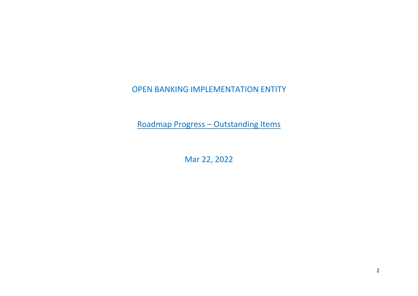## OPEN BANKING IMPLEMENTATION ENTITY

Roadmap Progress – Outstanding Items

Mar 22, 2022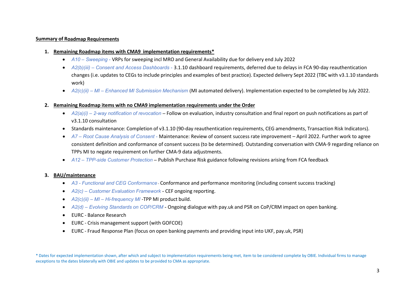## **Summary of Roadmap Requirements**

- **1. Remaining Roadmap items with CMA9 implementation requirements\***
	- *A10 Sweeping*  VRPs for sweeping incl MRO and General Availability due for delivery end July 2022
	- *A2(b)(iii) Consent and Access Dashboards*  3.1.10 dashboard requirements, deferred due to delays in FCA 90-day reauthentication changes (i.e. updates to CEGs to include principles and examples of best practice). Expected delivery Sept 2022 (TBC with v3.1.10 standards work)
	- *A2(c)(ii) MI Enhanced MI Submission Mechanism* (MI automated delivery). Implementation expected to be completed by July 2022.

## **2. Remaining Roadmap items with no CMA9 implementation requirements under the Order**

- *A2(a)(i) 2-way notification of revocation* Follow on evaluation, industry consultation and final report on push notifications as part of v3.1.10 consultation
- Standards maintenance: Completion of v3.1.10 (90-day reauthentication requirements, CEG amendments, Transaction Risk Indicators).
- *A7 Root Cause Analysis of Consent* Maintenance: Review of consent success rate improvement April 2022. Further work to agree consistent definition and conformance of consent success (to be determined). Outstanding conversation with CMA-9 regarding reliance on TPPs MI to negate requirement on further CMA-9 data adjustments.
- *A12 TPP-side Customer Protection* Publish Purchase Risk guidance following revisions arising from FCA feedback

## **3. BAU/maintenance**

- *A3 Functional and CEG Conformance* Conformance and performance monitoring (including consent success tracking)
- *A2(c) Customer Evaluation Framework* CEF ongoing reporting.
- *A2(c)(ii) MI Hi-frequency MI* -TPP MI product build.
- *A2(d) Evolving Standards on COP/CRM* Ongoing dialogue with pay.uk and PSR on CoP/CRM impact on open banking.
- EURC Balance Research
- EURC Crisis management support (with GOFCOE)
- EURC Fraud Response Plan (focus on open banking payments and providing input into UKF, pay.uk, PSR)

\* Dates for expected implementation shown, after which and subject to implementation requirements being met, item to be considered complete by OBIE. Individual firms to manage exceptions to the dates bilaterally with OBIE and updates to be provided to CMA as appropriate.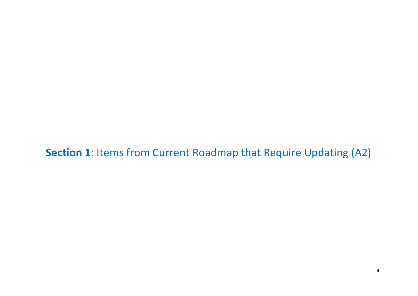**Section 1**: Items from Current Roadmap that Require Updating (A2)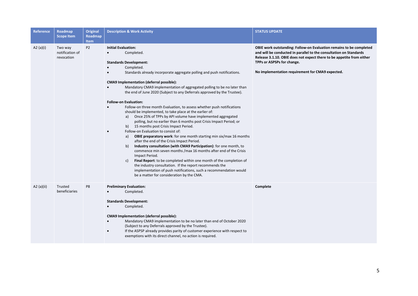| Reference | Roadmap<br><b>Scope Item</b>             | <b>Original</b><br>Roadmap | <b>Description &amp; Work Activity</b>                                                                                                                                                                                                                                                                                                                                                                                                                                                                                                                                                                                                                                                                                                                                                                                                                                                                                                                                                                                                                                                                                                                                                                                                                                                                                                                                           | <b>STATUS UPDATE</b>                                                                                                                                                                                                                                                                                 |
|-----------|------------------------------------------|----------------------------|----------------------------------------------------------------------------------------------------------------------------------------------------------------------------------------------------------------------------------------------------------------------------------------------------------------------------------------------------------------------------------------------------------------------------------------------------------------------------------------------------------------------------------------------------------------------------------------------------------------------------------------------------------------------------------------------------------------------------------------------------------------------------------------------------------------------------------------------------------------------------------------------------------------------------------------------------------------------------------------------------------------------------------------------------------------------------------------------------------------------------------------------------------------------------------------------------------------------------------------------------------------------------------------------------------------------------------------------------------------------------------|------------------------------------------------------------------------------------------------------------------------------------------------------------------------------------------------------------------------------------------------------------------------------------------------------|
|           |                                          | <b>Item</b>                |                                                                                                                                                                                                                                                                                                                                                                                                                                                                                                                                                                                                                                                                                                                                                                                                                                                                                                                                                                                                                                                                                                                                                                                                                                                                                                                                                                                  |                                                                                                                                                                                                                                                                                                      |
| A2 (a)(i) | Two way<br>notification of<br>revocation | P <sub>2</sub>             | <b>Initial Evaluation:</b><br>Completed.<br>$\bullet$<br><b>Standards Development:</b><br>Completed.<br>Standards already incorporate aggregate polling and push notifications.<br>$\bullet$<br><b>CMA9 Implementation (deferral possible):</b><br>Mandatory CMA9 implementation of aggregated polling to be no later than<br>the end of June 2020 (Subject to any Deferrals approved by the Trustee).<br><b>Follow-on Evaluation:</b><br>Follow-on three month Evaluation, to assess whether push notifications<br>$\bullet$<br>should be implemented, to take place at the earlier of:<br>Once 25% of TPPs by API volume have implemented aggregated<br>a)<br>polling, but no earlier than 6 months post Crisis Impact Period; or<br>15 months post Crisis Impact Period.<br>b)<br>Follow-on Evaluation to consist of:<br>OBIE preparatory work: for one month starting min six/max 16 months<br>a)<br>after the end of the Crisis Impact Period.<br>Industry consultation (with CMA9 Participation): for one month, to<br>b)<br>commence min seven months / max 16 months after end of the Crisis<br>Impact Period.<br>Final Report: to be completed within one month of the completion of<br>c)<br>the industry consultation. If the report recommends the<br>implementation of push notifications, such a recommendation would<br>be a matter for consideration by the CMA. | OBIE work outstanding: Follow-on Evaluation remains to be completed<br>and will be conducted in parallel to the consultation on Standards<br>Release 3.1.10. OBIE does not expect there to be appetite from either<br>TPPs or ASPSPs for change.<br>No implementation requirement for CMA9 expected. |
| A2(a)(ii) | Trusted<br>beneficiaries                 | P8                         | <b>Preliminary Evaluation:</b><br>Completed.<br><b>Standards Development:</b><br>Completed.<br>$\bullet$<br>CMA9 Implementation (deferral possible):<br>Mandatory CMA9 implementation to be no later than end of October 2020<br>$\bullet$<br>(Subject to any Deferrals approved by the Trustee).<br>If the ASPSP already provides parity of customer experience with respect to<br>$\bullet$<br>exemptions with its direct channel, no action is required.                                                                                                                                                                                                                                                                                                                                                                                                                                                                                                                                                                                                                                                                                                                                                                                                                                                                                                                      | Complete                                                                                                                                                                                                                                                                                             |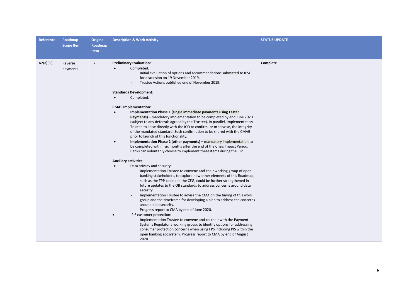| <b>Reference</b> | Roadmap<br><b>Scope Item</b> | Original<br>Roadmap<br>Item | <b>Description &amp; Work Activity</b>                                                                                                                                                                                                                                                                                                                                                                                                                                                                                                                                                                                                                                                                                                                                                                                                                                                                                                                                                                                                                                                                                                                                                                                                                                                                                                                                                                                                                                                                                                                                                                                                                                                                                                                                                                                                                                                             | <b>STATUS UPDATE</b> |
|------------------|------------------------------|-----------------------------|----------------------------------------------------------------------------------------------------------------------------------------------------------------------------------------------------------------------------------------------------------------------------------------------------------------------------------------------------------------------------------------------------------------------------------------------------------------------------------------------------------------------------------------------------------------------------------------------------------------------------------------------------------------------------------------------------------------------------------------------------------------------------------------------------------------------------------------------------------------------------------------------------------------------------------------------------------------------------------------------------------------------------------------------------------------------------------------------------------------------------------------------------------------------------------------------------------------------------------------------------------------------------------------------------------------------------------------------------------------------------------------------------------------------------------------------------------------------------------------------------------------------------------------------------------------------------------------------------------------------------------------------------------------------------------------------------------------------------------------------------------------------------------------------------------------------------------------------------------------------------------------------------|----------------------|
| A2(a)(iii)       | Reverse<br>payments          | P7                          | <b>Preliminary Evaluation:</b><br>Completed.<br>Initial evaluation of options and recommendations submitted to IESG<br>for discussion on 19 November 2019.<br>Trustee Actions published end of November 2019.<br><b>Standards Development:</b><br>Completed.<br><b>CMA9 Implementation:</b><br>Implementation Phase 1 (single immediate payments using Faster<br>Payments) - mandatory implementation to be completed by end June 2020<br>(subject to any deferrals agreed by the Trustee). In parallel, Implementation<br>Trustee to liaise directly with the ICO to confirm, or otherwise, the integrity<br>of the mandated standard. Such confirmation to be shared with the CMA9<br>prior to launch of this functionality.<br>Implementation Phase 2 (other payments) - mandatory implementation to<br>$\bullet$<br>be completed within six months after the end of the Crisis Impact Period.<br>Banks can voluntarily choose to implement these items during the CIP.<br><b>Ancillary activities:</b><br>Data privacy and security:<br>Implementation Trustee to convene and chair working group of open<br>banking stakeholders, to explore how other elements of this Roadmap,<br>such as the TPP code and the CEG, could be further strengthened in<br>future updates to the OB standards to address concerns around data<br>security.<br>Implementation Trustee to advise the CMA on the timing of this work<br>group and the timeframe for developing a plan to address the concerns<br>around data security.<br>Progress report to CMA by end of June 2020.<br>PIS customer protection:<br>Implementation Trustee to convene and co-chair with the Payment<br>Systems Regulator a working group, to identify options for addressing<br>consumer protection concerns when using FPS including PIS within the<br>open banking ecosystem. Progress report to CMA by end of August<br>2020. | Complete             |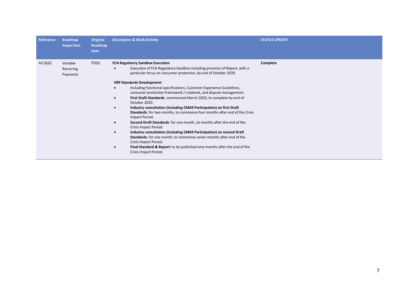| Reference   | Roadmap<br><b>Scope Item</b>      | Original<br>Roadmap<br><b>Item</b> | <b>Description &amp; Work Activity</b>                                                                                                                                                                                                                                                                                                                                                                                                                                                                                                                                                                                                                                                                                                                                                                                                                                                                                                                                                                                                        | <b>STATUS UPDATE</b> |
|-------------|-----------------------------------|------------------------------------|-----------------------------------------------------------------------------------------------------------------------------------------------------------------------------------------------------------------------------------------------------------------------------------------------------------------------------------------------------------------------------------------------------------------------------------------------------------------------------------------------------------------------------------------------------------------------------------------------------------------------------------------------------------------------------------------------------------------------------------------------------------------------------------------------------------------------------------------------------------------------------------------------------------------------------------------------------------------------------------------------------------------------------------------------|----------------------|
| A2 $(b)(i)$ | Variable<br>Recurring<br>Payments | P5(b)                              | <b>FCA Regulatory Sandbox Execution</b><br>Execution of FCA Regulatory Sandbox including provision of Report, with a<br>particular focus on consumer protection, by end of October 2020.<br><b>VRP Standards Development:</b><br>Including functional specifications, Customer Experience Guidelines,<br>consumer protection framework / rulebook, and dispute management.<br>First Draft Standards: commenced March 2020, to complete by end of<br>October 2020.<br>Industry consultation (including CMA9 Participation) on first Draft<br>$\bullet$<br>Standards: for two months, to commence four months after end of the Crisis<br>Impact Period.<br>Second Draft Standards: for one month, six months after the end of the<br>Crisis Impact Period.<br>Industry consultation (including CMA9 Participation) on second Draft<br><b>Standards:</b> for one month, to commence seven months after end of the<br>Crisis Impact Period.<br>Final Standard & Report: to be published nine months after the end of the<br>Crisis Impact Period. | Complete             |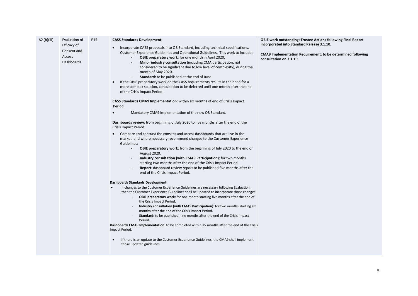| A2 (b)(iii) | Evaluation of<br>Efficacy of<br>Consent and<br>Access<br>Dashboards | P15 | <b>CASS Standards Development:</b><br>Incorporate CASS proposals into OB Standard, including technical specifications,<br>Customer Experience Guidelines and Operational Guidelines. This work to include:<br><b>OBIE preparatory work:</b> for one month in April 2020.<br>Minor industry consultation (including CMA participation, not<br>considered to be significant due to low level of complexity), during the<br>month of May 2020.<br>Standard: to be published at the end of June<br>If the OBIE preparatory work on the CASS requirements results in the need for a<br>more complex solution, consultation to be deferred until one month after the end<br>of the Crisis Impact Period.<br><b>CASS Standards CMA9 Implementation:</b> within six months of end of Crisis Impact<br>Period. | <b>OBIE work outstanding: Trustee Actions following Final Report</b><br>incorporated into Standard Release 3.1.10.<br>CMA9 Implementation Requirement: to be determined following<br>consultation on 3.1.10. |
|-------------|---------------------------------------------------------------------|-----|-------------------------------------------------------------------------------------------------------------------------------------------------------------------------------------------------------------------------------------------------------------------------------------------------------------------------------------------------------------------------------------------------------------------------------------------------------------------------------------------------------------------------------------------------------------------------------------------------------------------------------------------------------------------------------------------------------------------------------------------------------------------------------------------------------|--------------------------------------------------------------------------------------------------------------------------------------------------------------------------------------------------------------|
|             |                                                                     |     | Mandatory CMA9 implementation of the new OB Standard.<br>$\bullet$                                                                                                                                                                                                                                                                                                                                                                                                                                                                                                                                                                                                                                                                                                                                    |                                                                                                                                                                                                              |
|             |                                                                     |     | Dashboards review: from beginning of July 2020 to five months after the end of the<br>Crisis Impact Period.                                                                                                                                                                                                                                                                                                                                                                                                                                                                                                                                                                                                                                                                                           |                                                                                                                                                                                                              |
|             |                                                                     |     | Compare and contrast the consent and access dashboards that are live in the<br>$\bullet$<br>market, and where necessary recommend changes to the Customer Experience<br>Guidelines:<br>OBIE preparatory work: from the beginning of July 2020 to the end of<br>$\overline{\phantom{a}}$<br>August 2020.<br>Industry consultation (with CMA9 Participation): for two months<br>starting two months after the end of the Crisis Impact Period.<br><b>Report:</b> dashboard review report to be published five months after the<br>end of the Crisis Impact Period.                                                                                                                                                                                                                                      |                                                                                                                                                                                                              |
|             |                                                                     |     | <b>Dashboards Standards Development:</b><br>If changes to the Customer Experience Guidelines are necessary following Evaluation,<br>$\bullet$<br>then the Customer Experience Guidelines shall be updated to incorporate those changes:<br>OBIE preparatory work: for one month starting five months after the end of<br>the Crisis Impact Period.<br>Industry consultation (with CMA9 Participation): for two months starting six<br>months after the end of the Crisis Impact Period.<br><b>Standard:</b> to be published nine months after the end of the Crisis Impact<br>Period.<br>Dashboards CMA9 Implementation: to be completed within 15 months after the end of the Crisis<br>Impact Period.                                                                                               |                                                                                                                                                                                                              |
|             |                                                                     |     | If there is an update to the Customer Experience Guidelines, the CMA9 shall implement<br>those updated guidelines.                                                                                                                                                                                                                                                                                                                                                                                                                                                                                                                                                                                                                                                                                    |                                                                                                                                                                                                              |
|             |                                                                     |     |                                                                                                                                                                                                                                                                                                                                                                                                                                                                                                                                                                                                                                                                                                                                                                                                       |                                                                                                                                                                                                              |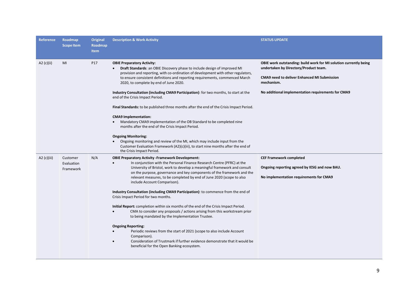| Reference   | Roadmap<br><b>Scope Item</b>        | <b>Original</b><br>Roadmap<br><b>Item</b> | <b>Description &amp; Work Activity</b>                                                                                                                                                                                                                                                                                                                                                                                                                                                                                                                                                                                                                                                                                                                                                                                                                                                                                                                                                                        | <b>STATUS UPDATE</b>                                                                                                                                                                                                                 |
|-------------|-------------------------------------|-------------------------------------------|---------------------------------------------------------------------------------------------------------------------------------------------------------------------------------------------------------------------------------------------------------------------------------------------------------------------------------------------------------------------------------------------------------------------------------------------------------------------------------------------------------------------------------------------------------------------------------------------------------------------------------------------------------------------------------------------------------------------------------------------------------------------------------------------------------------------------------------------------------------------------------------------------------------------------------------------------------------------------------------------------------------|--------------------------------------------------------------------------------------------------------------------------------------------------------------------------------------------------------------------------------------|
| A2 (c)(ii)  | MI                                  | P17                                       | <b>OBIE Preparatory Activity:</b><br><b>Draft Standards:</b> an OBIE Discovery phase to include design of improved MI<br>provision and reporting, with co-ordination of development with other regulators,<br>to ensure consistent definitions and reporting requirements, commenced March<br>2020, to complete by end of June 2020.<br>Industry Consultation (including CMA9 Participation): for two months, to start at the<br>end of the Crisis Impact Period.<br>Final Standards: to be published three months after the end of the Crisis Impact Period.<br><b>CMA9 Implementation:</b><br>Mandatory CMA9 implementation of the OB Standard to be completed nine<br>months after the end of the Crisis Impact Period.<br><b>Ongoing Monitoring:</b><br>Ongoing monitoring and review of the MI, which may include input from the<br>Customer Evaluation Framework (A2)(c)(iii), to start nine months after the end of<br>the Crisis Impact Period.                                                       | OBIE work outstanding: build work for MI solution currently being<br>undertaken by Directory/Product team.<br><b>CMA9</b> need to deliver Enhanced MI Submission<br>mechanism.<br>No additional implementation requirements for CMA9 |
| A2 (c)(iii) | Customer<br>Evaluation<br>Framework | N/A                                       | <b>OBIE Preparatory Activity -Framework Development:</b><br>In conjunction with the Personal Finance Research Centre (PFRC) at the<br>University of Bristol, work to develop a meaningful framework and consult<br>on the purpose, governance and key components of the framework and the<br>relevant measures, to be completed by end of June 2020 (scope to also<br>include Account Comparison).<br>Industry Consultation (including CMA9 Participation): to commence from the end of<br>Crisis Impact Period for two months.<br>Initial Report: completion within six months of the end of the Crisis Impact Period.<br>CMA to consider any proposals / actions arising from this workstream prior<br>to being mandated by the Implementation Trustee.<br><b>Ongoing Reporting:</b><br>Periodic reviews from the start of 2021 (scope to also include Account<br>Comparison).<br>Consideration of Trustmark if further evidence demonstrate that it would be<br>beneficial for the Open Banking ecosystem. | <b>CEF Framework completed</b><br>Ongoing reporting agreed by IESG and now BAU.<br>No implementation requirements for CMA9                                                                                                           |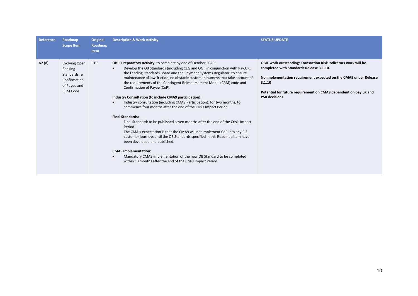| <b>Reference</b> | Roadmap<br><b>Scope Item</b>                                                                              | Original<br>Roadmap<br><b>Item</b> | <b>Description &amp; Work Activity</b>                                                                                                                                                                                                                                                                                                                                                                                                                                                                                                                                                                                                                                                                                                                                                                                                                                                                                                                                                                                                                                                                                                            | <b>STATUS UPDATE</b>                                                                                                                                                                                                                                                                   |
|------------------|-----------------------------------------------------------------------------------------------------------|------------------------------------|---------------------------------------------------------------------------------------------------------------------------------------------------------------------------------------------------------------------------------------------------------------------------------------------------------------------------------------------------------------------------------------------------------------------------------------------------------------------------------------------------------------------------------------------------------------------------------------------------------------------------------------------------------------------------------------------------------------------------------------------------------------------------------------------------------------------------------------------------------------------------------------------------------------------------------------------------------------------------------------------------------------------------------------------------------------------------------------------------------------------------------------------------|----------------------------------------------------------------------------------------------------------------------------------------------------------------------------------------------------------------------------------------------------------------------------------------|
| A2(d)            | <b>Evolving Open</b><br><b>Banking</b><br>Standards re<br>Confirmation<br>of Payee and<br><b>CRM Code</b> | P <sub>19</sub>                    | <b>OBIE Preparatory Activity:</b> to complete by end of October 2020.<br>Develop the OB Standards (including CEG and OG), in conjunction with Pay.UK,<br>the Lending Standards Board and the Payment Systems Regulator, to ensure<br>maintenance of low-friction, no obstacle customer journeys that take account of<br>the requirements of the Contingent Reimbursement Model (CRM) code and<br>Confirmation of Payee (CoP).<br>Industry Consultation (to include CMA9 participation):<br>Industry consultation (including CMA9 Participation): for two months, to<br>commence four months after the end of the Crisis Impact Period.<br><b>Final Standards:</b><br>Final Standard: to be published seven months after the end of the Crisis Impact<br>Period.<br>The CMA's expectation is that the CMA9 will not implement CoP into any PIS<br>customer journeys until the OB Standards specified in this Roadmap item have<br>been developed and published.<br><b>CMA9 Implementation:</b><br>Mandatory CMA9 implementation of the new OB Standard to be completed<br>$\bullet$<br>within 13 months after the end of the Crisis Impact Period. | OBIE work outstanding: Transaction Risk Indicators work will be<br>completed with Standards Release 3.1.10.<br>No implementation requirement expected on the CMA9 under Release<br>3.1.10<br>Potential for future requirement on CMA9 dependent on pay.uk and<br><b>PSR</b> decisions. |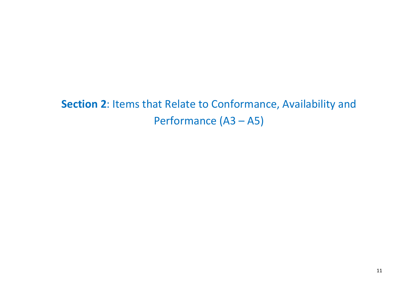**Section 2**: Items that Relate to Conformance, Availability and Performance (A3 – A5)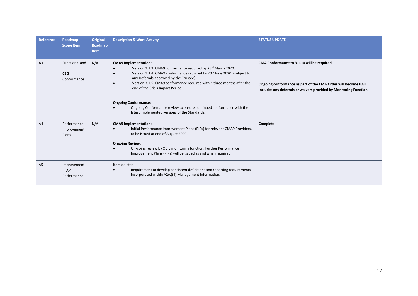| <b>Reference</b> | Roadmap<br><b>Scope Item</b>                | <b>Original</b><br><b>Roadmap</b><br><b>Item</b> | <b>Description &amp; Work Activity</b>                                                                                                                                                                                                                                                                                                                                                                                                                                                                                       | <b>STATUS UPDATE</b>                                                                                                                                                               |
|------------------|---------------------------------------------|--------------------------------------------------|------------------------------------------------------------------------------------------------------------------------------------------------------------------------------------------------------------------------------------------------------------------------------------------------------------------------------------------------------------------------------------------------------------------------------------------------------------------------------------------------------------------------------|------------------------------------------------------------------------------------------------------------------------------------------------------------------------------------|
| A <sub>3</sub>   | Functional and<br><b>CEG</b><br>Conformance | N/A                                              | <b>CMA9</b> Implementation:<br>Version 3.1.3. CMA9 conformance required by 23rd March 2020.<br>$\bullet$<br>Version 3.1.4. CMA9 conformance required by 20 <sup>th</sup> June 2020. (subject to<br>any Deferrals approved by the Trustee).<br>Version 3.1.5. CMA9 conformance required within three months after the<br>$\bullet$<br>end of the Crisis Impact Period.<br><b>Ongoing Conformance:</b><br>Ongoing Conformance review to ensure continued conformance with the<br>latest implemented versions of the Standards. | CMA Conformance to 3.1.10 will be required.<br>Ongoing conformance as part of the CMA Order will become BAU.<br>Includes any deferrals or waivers provided by Monitoring Function. |
| A <sub>4</sub>   | Performance<br>Improvement<br>Plans         | N/A                                              | <b>CMA9</b> Implementation:<br>Initial Performance Improvement Plans (PIPs) for relevant CMA9 Providers,<br>to be issued at end of August 2020.<br><b>Ongoing Review:</b><br>On-going review by OBIE monitoring function. Further Performance<br>Improvement Plans (PIPs) will be issued as and when required.                                                                                                                                                                                                               | Complete                                                                                                                                                                           |
| A <sub>5</sub>   | Improvement<br>in API<br>Performance        |                                                  | Item deleted<br>Requirement to develop consistent definitions and reporting requirements<br>incorporated within A2(c)(ii) Management Information.                                                                                                                                                                                                                                                                                                                                                                            |                                                                                                                                                                                    |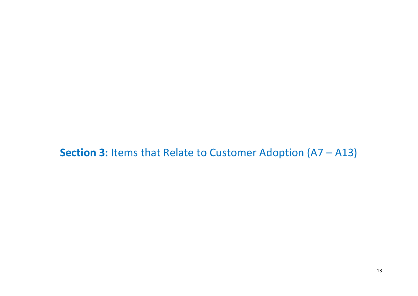**Section 3:** Items that Relate to Customer Adoption (A7 – A13)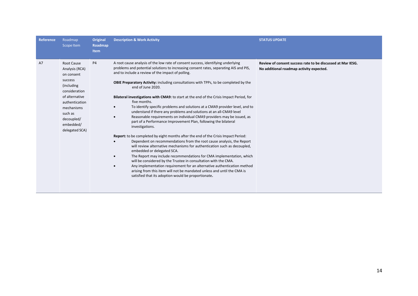| Reference | Roadmap<br>Scope Item                                                                                                                                                                          | <b>Original</b><br>Roadmap<br><b>Item</b> | <b>Description &amp; Work Activity</b>                                                                                                                                                                                                                                                                                                                                                                                                                                                                                                                                                                                                                                                                                                                                                                                                                                                                                                                                                                                                                                                                                                                                                                                                                                                                                                                                                                                                                               | <b>STATUS UPDATE</b>                                                                                    |
|-----------|------------------------------------------------------------------------------------------------------------------------------------------------------------------------------------------------|-------------------------------------------|----------------------------------------------------------------------------------------------------------------------------------------------------------------------------------------------------------------------------------------------------------------------------------------------------------------------------------------------------------------------------------------------------------------------------------------------------------------------------------------------------------------------------------------------------------------------------------------------------------------------------------------------------------------------------------------------------------------------------------------------------------------------------------------------------------------------------------------------------------------------------------------------------------------------------------------------------------------------------------------------------------------------------------------------------------------------------------------------------------------------------------------------------------------------------------------------------------------------------------------------------------------------------------------------------------------------------------------------------------------------------------------------------------------------------------------------------------------------|---------------------------------------------------------------------------------------------------------|
| A7        | Root Cause<br>Analysis (RCA)<br>on consent<br>success<br>(including<br>consideration<br>of alternative<br>authentication<br>mechanisms<br>such as<br>decoupled/<br>embedded/<br>delegated SCA) | <b>P4</b>                                 | A root cause analysis of the low rate of consent success, identifying underlying<br>problems and potential solutions to increasing consent rates, separating AIS and PIS,<br>and to include a review of the impact of polling.<br><b>OBIE Preparatory Activity:</b> including consultations with TPPs, to be completed by the<br>end of June 2020.<br>Bilateral investigations with CMA9: to start at the end of the Crisis Impact Period, for<br>five months.<br>To identify specific problems and solutions at a CMA9 provider level, and to<br>$\bullet$<br>understand if there any problems and solutions at an all-CMA9 level<br>Reasonable requirements on individual CMA9 providers may be issued, as<br>$\bullet$<br>part of a Performance Improvement Plan, following the bilateral<br>investigations.<br><b>Report:</b> to be completed by eight months after the end of the Crisis Impact Period:<br>Dependent on recommendations from the root cause analysis, the Report<br>will review alternative mechanisms for authentication such as decoupled,<br>embedded or delegated SCA.<br>The Report may include recommendations for CMA implementation, which<br>will be considered by the Trustee in consultation with the CMA.<br>Any implementation requirement for an alternative authentication method<br>$\bullet$<br>arising from this item will not be mandated unless and until the CMA is<br>satisfied that its adoption would be proportionate. | Review of consent success rate to be discussed at Mar IESG.<br>No additional roadmap activity expected. |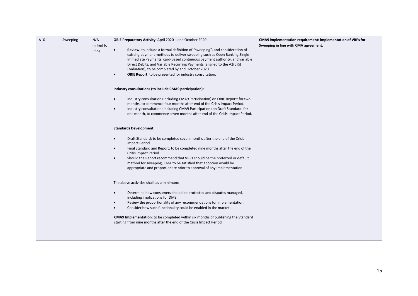| A10 | Sweeping | N/A<br>(linked to<br>P5b) | OBIE Preparatory Activity: April 2020 - end October 2020<br>Review: to include a formal definition of "sweeping", and consideration of<br>$\bullet$<br>existing payment methods to deliver sweeping such as Open Banking Single<br>Immediate Payments, card-based continuous payment authority, and variable<br>Direct Debits, and Variable Recurring Payments (aligned to the A2(b)(i)<br>Evaluation), to be completed by end October 2020.<br>OBIE Report: to be presented for industry consultation.<br>$\bullet$ | CMA9 implementation requirement: implementation of VRPs for<br>Sweeping in line with CMA agreement. |
|-----|----------|---------------------------|----------------------------------------------------------------------------------------------------------------------------------------------------------------------------------------------------------------------------------------------------------------------------------------------------------------------------------------------------------------------------------------------------------------------------------------------------------------------------------------------------------------------|-----------------------------------------------------------------------------------------------------|
|     |          |                           | Industry consultations (to include CMA9 participation):                                                                                                                                                                                                                                                                                                                                                                                                                                                              |                                                                                                     |
|     |          |                           | Industry consultation (including CMA9 Participation) on OBIE Report: for two<br>$\bullet$<br>months, to commence four months after end of the Crisis Impact Period.<br>Industry consultation (including CMA9 Participation) on Draft Standard: for<br>$\bullet$<br>one month, to commence seven months after end of the Crisis Impact Period.                                                                                                                                                                        |                                                                                                     |
|     |          |                           | <b>Standards Development:</b>                                                                                                                                                                                                                                                                                                                                                                                                                                                                                        |                                                                                                     |
|     |          |                           | Draft Standard: to be completed seven months after the end of the Crisis<br>$\bullet$<br>Impact Period.<br>Final Standard and Report: to be completed nine months after the end of the<br>$\bullet$<br>Crisis Impact Period.<br>Should the Report recommend that VRPs should be the preferred or default<br>$\bullet$<br>method for sweeping, CMA to be satisfied that adoption would be<br>appropriate and proportionate prior to approval of any implementation.                                                   |                                                                                                     |
|     |          |                           | The above activities shall, as a minimum:                                                                                                                                                                                                                                                                                                                                                                                                                                                                            |                                                                                                     |
|     |          |                           | Determine how consumers should be protected and disputes managed,<br>$\bullet$<br>including implications for DMS.<br>Review the proportionality of any recommendations for implementation.<br>$\bullet$<br>Consider how such functionality could be enabled in the market.<br>$\bullet$                                                                                                                                                                                                                              |                                                                                                     |
|     |          |                           | <b>CMA9 Implementation:</b> to be completed within six months of publishing the Standard<br>starting from nine months after the end of the Crisis Impact Period.                                                                                                                                                                                                                                                                                                                                                     |                                                                                                     |
|     |          |                           |                                                                                                                                                                                                                                                                                                                                                                                                                                                                                                                      |                                                                                                     |